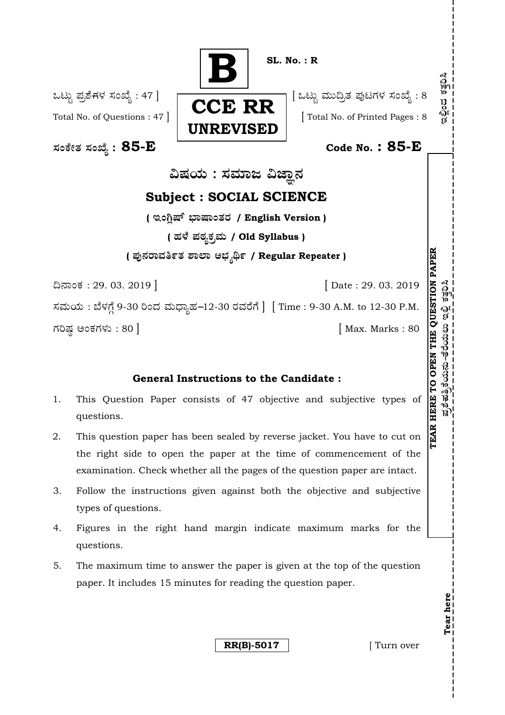

# **General Instructions to the Candidate :**

- 1. This Question Paper consists of 47 objective and subjective types of questions.
- 2. This question paper has been sealed by reverse jacket. You have to cut on the right side to open the paper at the time of commencement of the examination. Check whether all the pages of the question paper are intact.
- 3. Follow the instructions given against both the objective and subjective types of questions.
- 4. Figures in the right hand margin indicate maximum marks for the questions.
- 5. The maximum time to answer the paper is given at the top of the question paper. It includes 15 minutes for reading the question paper.

**RR(B)-5017** [ Turn over

**Tear here** 

Tear here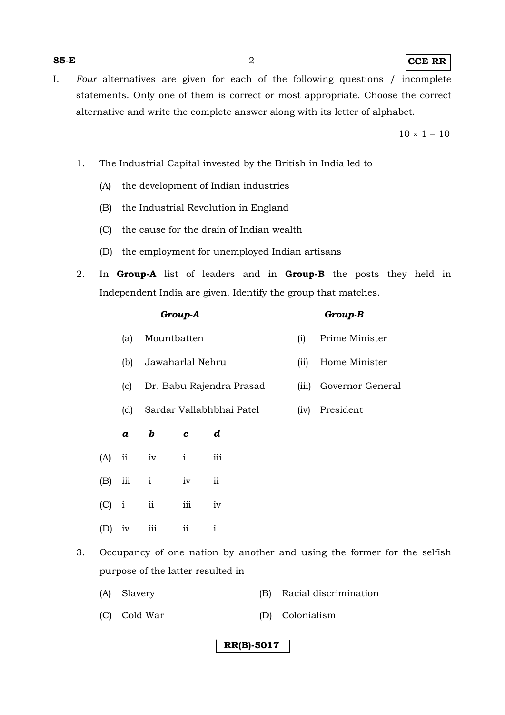### **85-E** 2 **CCE RR**

I. *Four* alternatives are given for each of the following questions / incomplete statements. Only one of them is correct or most appropriate. Choose the correct alternative and write the complete answer along with its letter of alphabet.

 $10 \times 1 = 10$ 

- 1. The Industrial Capital invested by the British in India led to
	- (A) the development of Indian industries
	- (B) the Industrial Revolution in England
	- (C) the cause for the drain of Indian wealth
	- (D) the employment for unemployed Indian artisans
- 2. In **Group-A** list of leaders and in **Group-B** the posts they held in Independent India are given. Identify the group that matches.

| Group-A |                     |               |                          |                           |                 | Group-B |                  |  |
|---------|---------------------|---------------|--------------------------|---------------------------|-----------------|---------|------------------|--|
|         |                     | (a)           | Mountbatten              |                           |                 | (i)     | Prime Minister   |  |
|         |                     | (b)           | Jawaharlal Nehru         |                           |                 | (ii)    | Home Minister    |  |
|         |                     | (c)           | Dr. Babu Rajendra Prasad |                           |                 | (iii)   | Governor General |  |
|         |                     | (d)           | Sardar Vallabhbhai Patel |                           |                 | (iv)    | President        |  |
|         |                     | a             | b                        | $\mathbf c$               | d               |         |                  |  |
|         | (A)                 | $\mathbf{ii}$ | iv                       | $\mathbf{i}$              | iii             |         |                  |  |
|         | (B)                 | $\rm iii$     | $\mathbf{i}$             | iv                        | $\ddot{\rm ii}$ |         |                  |  |
|         | (C)                 | $\mathbf{i}$  | ii                       | $\rm iii$                 | iv              |         |                  |  |
|         | $(D)$ $\frac{1}{2}$ |               | $\sim$ $\frac{1}{2}$     | $\mathbf{H}^{\text{max}}$ | $\blacksquare$  |         |                  |  |

- 3. Occupancy of one nation by another and using the former for the selfish purpose of the latter resulted in
	- (A) Slavery (B) Racial discrimination
	- (C) Cold War (D) Colonialism
- 
- (B) iii i iv ii
- (C) i ii iii iv
	- (D) iv iii ii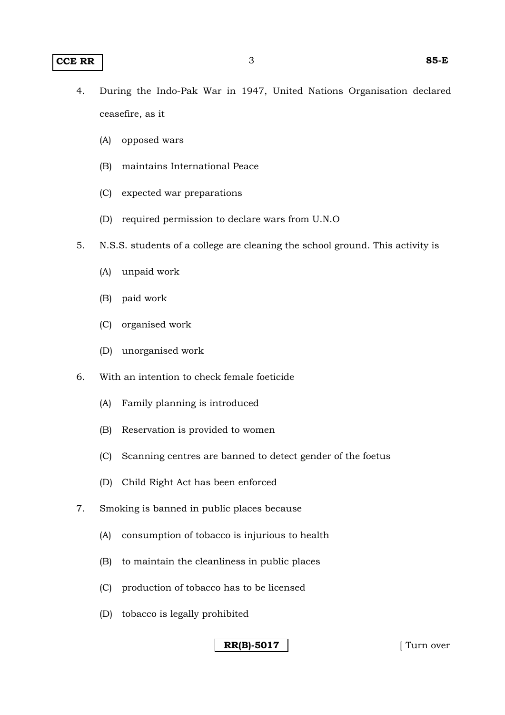- (A) opposed wars
- (B) maintains International Peace
- (C) expected war preparations
- (D) required permission to declare wars from U.N.O
- 5. N.S.S. students of a college are cleaning the school ground. This activity is
	- (A) unpaid work
	- (B) paid work
	- (C) organised work
	- (D) unorganised work
- 6. With an intention to check female foeticide
	- (A) Family planning is introduced
	- (B) Reservation is provided to women
	- (C) Scanning centres are banned to detect gender of the foetus
	- (D) Child Right Act has been enforced
- 7. Smoking is banned in public places because
	- (A) consumption of tobacco is injurious to health
	- (B) to maintain the cleanliness in public places
	- (C) production of tobacco has to be licensed
	- (D) tobacco is legally prohibited

**RR(B)-5017** [ Turn over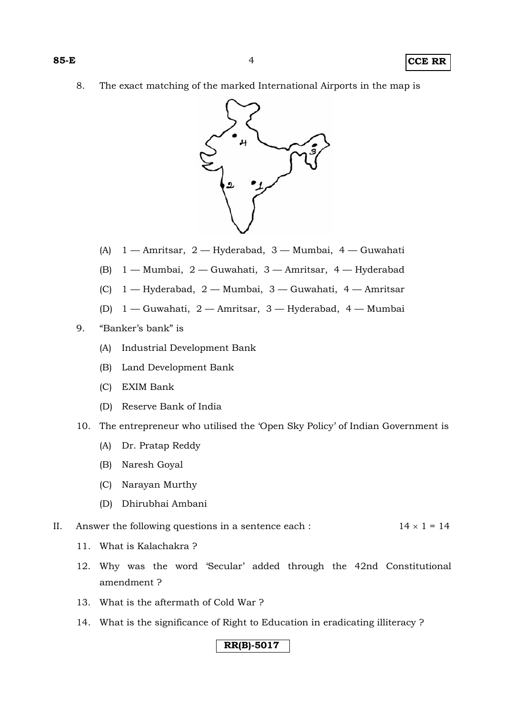8. The exact matching of the marked International Airports in the map is



- (A) 1 Amritsar, 2 Hyderabad, 3 Mumbai, 4 Guwahati
- (B) 1 Mumbai, 2 Guwahati, 3 Amritsar, 4 Hyderabad
- (C) 1 Hyderabad, 2 Mumbai, 3 Guwahati, 4 Amritsar
- (D) 1 Guwahati, 2 Amritsar, 3 Hyderabad, 4 Mumbai
- 9. "Banker's bank" is
	- (A) Industrial Development Bank
	- (B) Land Development Bank
	- (C) EXIM Bank
	- (D) Reserve Bank of India
- 10. The entrepreneur who utilised the 'Open Sky Policy' of Indian Government is
	- (A) Dr. Pratap Reddy
	- (B) Naresh Goyal
	- (C) Narayan Murthy
	- (D) Dhirubhai Ambani
- II. Answer the following questions in a sentence each :  $14 \times 1 = 14$ 
	- 11. What is Kalachakra ?
	- 12. Why was the word 'Secular' added through the 42nd Constitutional amendment ?
	- 13. What is the aftermath of Cold War ?
	- 14. What is the significance of Right to Education in eradicating illiteracy ?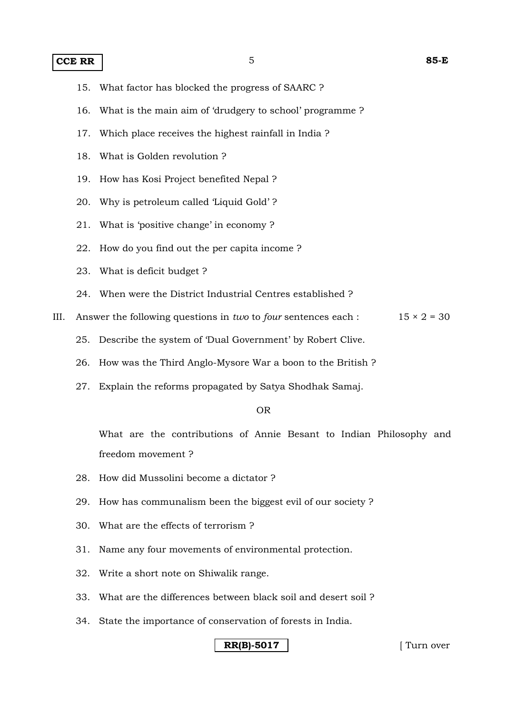### **CCE RR** 1

- 15. What factor has blocked the progress of SAARC ?
- 16. What is the main aim of 'drudgery to school' programme ?
- 17. Which place receives the highest rainfall in India ?
- 18. What is Golden revolution ?
- 19. How has Kosi Project benefited Nepal ?
- 20. Why is petroleum called 'Liquid Gold' ?
- 21. What is 'positive change' in economy ?
- 22. How do you find out the per capita income ?
- 23. What is deficit budget ?
- 24. When were the District Industrial Centres established ?
- III. Answer the following questions in *two* to *four* sentences each :  $15 \times 2 = 30$ 
	- 25. Describe the system of 'Dual Government' by Robert Clive.
	- 26. How was the Third Anglo-Mysore War a boon to the British ?
	- 27. Explain the reforms propagated by Satya Shodhak Samaj.

#### OR

 What are the contributions of Annie Besant to Indian Philosophy and freedom movement ?

- 28. How did Mussolini become a dictator ?
- 29. How has communalism been the biggest evil of our society ?
- 30. What are the effects of terrorism ?
- 31. Name any four movements of environmental protection.
- 32. Write a short note on Shiwalik range.
- 33. What are the differences between black soil and desert soil ?
- 34. State the importance of conservation of forests in India.

### **RR(B)-5017** | Turn over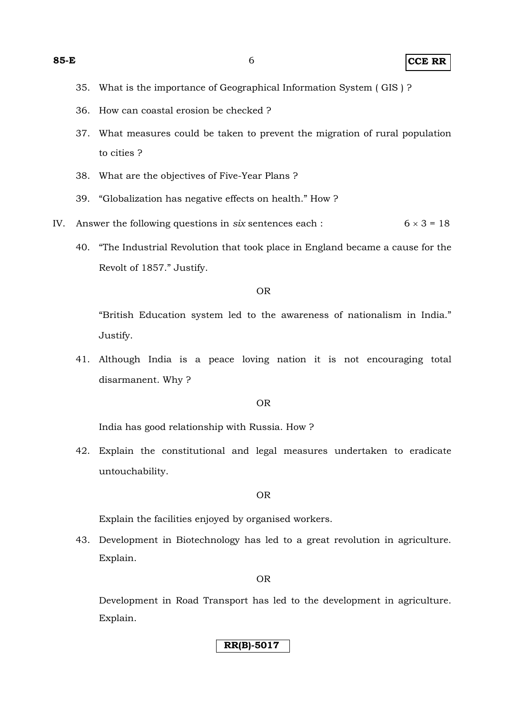**85-E** 6 **CCE RR**

- 35. What is the importance of Geographical Information System ( GIS ) ?
- 36. How can coastal erosion be checked ?
- 37. What measures could be taken to prevent the migration of rural population to cities ?
- 38. What are the objectives of Five-Year Plans ?
- 39. "Globalization has negative effects on health." How ?
- IV. Answer the following questions in *six* sentences each :  $6 \times 3 = 18$ 
	- 40. "The Industrial Revolution that took place in England became a cause for the Revolt of 1857." Justify.

#### OR

 "British Education system led to the awareness of nationalism in India." Justify.

41. Although India is a peace loving nation it is not encouraging total disarmanent. Why ?

#### OR

India has good relationship with Russia. How ?

42. Explain the constitutional and legal measures undertaken to eradicate untouchability.

#### OR

Explain the facilities enjoyed by organised workers.

43. Development in Biotechnology has led to a great revolution in agriculture. Explain.

#### OR

 Development in Road Transport has led to the development in agriculture. Explain.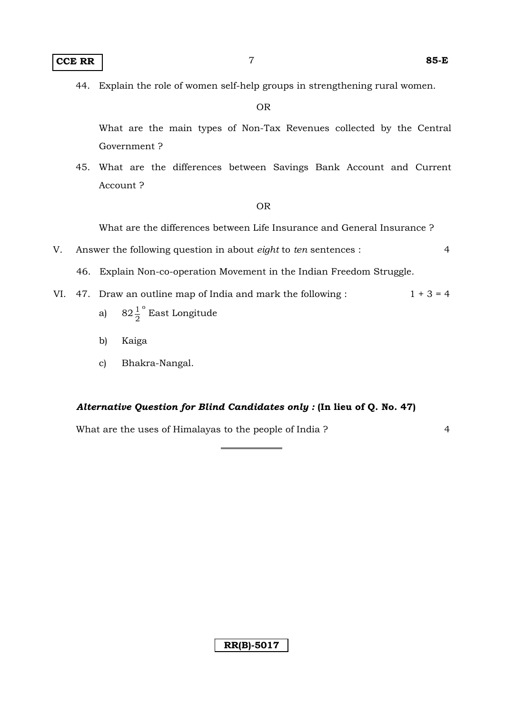44. Explain the role of women self-help groups in strengthening rural women.

OR

 What are the main types of Non-Tax Revenues collected by the Central Government ?

45. What are the differences between Savings Bank Account and Current Account ?

OR

What are the differences between Life Insurance and General Insurance ?

- V. Answer the following question in about *eight* to *ten* sentences : 4
	- 46. Explain Non-co-operation Movement in the Indian Freedom Struggle.
- VI. 47. Draw an outline map of India and mark the following :  $1 + 3 = 4$ 
	- a)  $82\frac{1}{2}^{\circ}$  East Longitude
		- b) Kaiga
		- c) Bhakra-Nangal.

### *Alternative Question for Blind Candidates only :* **(In lieu of Q. No. 47)**

What are the uses of Himalayas to the people of India ? 4